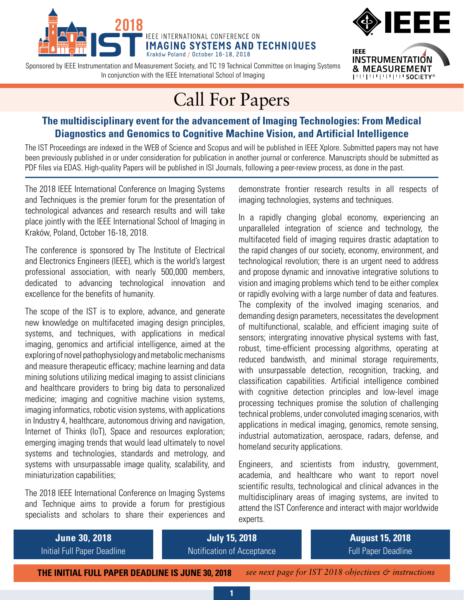

Sponsored by IEEE Instrumentation and Measurement Society, and TC 19 Technical Committee on Imaging Systems In conjunction with the IEEE International School of Imaging



# Call For Papers

### **The multidisciplinary event for the advancement of Imaging Technologies: From Medical Diagnostics and Genomics to Cognitive Machine Vision, and Artificial Intelligence**

The IST Proceedings are indexed in the WEB of Science and Scopus and will be published in IEEE Xplore. Submitted papers may not have been previously published in or under consideration for publication in another journal or conference. Manuscripts should be submitted as PDF files via EDAS. High-quality Papers will be published in ISI Journals, following a peer-review process, as done in the past.

The 2018 IEEE International Conference on Imaging Systems and Techniques is the premier forum for the presentation of technological advances and research results and will take place jointly with the IEEE International School of Imaging in Kraków, Poland, October 16-18, 2018.

The conference is sponsored by The Institute of Electrical and Electronics Engineers (IEEE), which is the world's largest professional association, with nearly 500,000 members, dedicated to advancing technological innovation and excellence for the benefits of humanity.

The scope of the IST is to explore, advance, and generate new knowledge on multifaceted imaging design principles, systems, and techniques, with applications in medical imaging, genomics and artificial intelligence, aimed at the exploring of novel pathophysiology and metabolic mechanisms and measure therapeutic efficacy; machine learning and data mining solutions utilizing medical imaging to assist clinicians and healthcare providers to bring big data to personalized medicine; imaging and cognitive machine vision systems, imaging informatics, robotic vision systems, with applications in Industry 4, healthcare, autonomous driving and navigation, Internet of Thinks (IoT), Space and resources exploration; emerging imaging trends that would lead ultimately to novel systems and technologies, standards and metrology, and systems with unsurpassable image quality, scalability, and miniaturization capabilities;

The 2018 IEEE International Conference on Imaging Systems and Technique aims to provide a forum for prestigious specialists and scholars to share their experiences and demonstrate frontier research results in all respects of imaging technologies, systems and techniques.

In a rapidly changing global economy, experiencing an unparalleled integration of science and technology, the multifaceted field of imaging requires drastic adaptation to the rapid changes of our society, economy, environment, and technological revolution; there is an urgent need to address and propose dynamic and innovative integrative solutions to vision and imaging problems which tend to be either complex or rapidly evolving with a large number of data and features. The complexity of the involved imaging scenarios, and demanding design parameters, necessitates the development of multifunctional, scalable, and efficient imaging suite of sensors; intergrating innovative physical systems with fast, robust, time-efficient processing algorithms, operating at reduced bandwisth, and minimal storage requirements, with unsurpassable detection, recognition, tracking, and classification capabilities. Artificial intelligence combined with cognitive detection principles and low-level image processing techniques promise the solution of challenging technical problems, under convoluted imaging scenarios, with applications in medical imaging, genomics, remote sensing, industrial automatization, aerospace, radars, defense, and homeland security applications.

Engineers, and scientists from industry, government, academia, and healthcare who want to report novel scientific results, technological and clinical advances in the multidisciplinary areas of imaging systems, are invited to attend the IST Conference and interact with major worldwide experts.



**THE INITIAL FULL PAPER DEADLINE IS JUNE 30, 2018**

**1**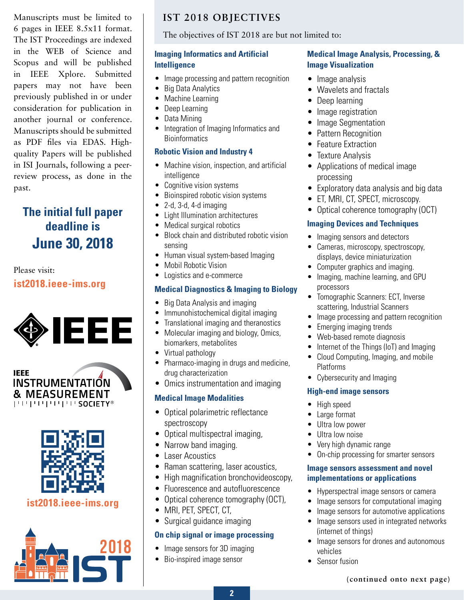Manuscripts must be limited to 6 pages in IEEE 8.5x11 format. The IST Proceedings are indexed in the WEB of Science and Scopus and will be published in IEEE Xplore. Submitted papers may not have been previously published in or under consideration for publication in another journal or conference. Manuscripts should be submitted as PDF files via EDAS. Highquality Papers will be published in ISI Journals, following a peerreview process, as done in the past.

## **The initial full paper deadline is June 30, 2018**

## Please visit: **[ist2018.ieee-ims.org](http://ist2017.ieee-ims.org)**







### **[ist2018.ieee-ims.org](http://ist2017.ieee-ims.org)**



## **IST 2018 OBJECTIVES**

#### The objectives of IST 2018 are but not limited to:

#### **Imaging Informatics and Artificial Intelligence**

- Image processing and pattern recognition
- Big Data Analytics
- Machine Learning
- Deep Learning
- Data Mining
- Integration of Imaging Informatics and **Bioinformatics**

#### **Robotic Vision and Industry 4**

- Machine vision, inspection, and artificial intelligence
- Cognitive vision systems
- Bioinspired robotic vision systems
- $2-d$ ,  $3-d$ ,  $4-d$  imaging
- Light Illumination architectures
- Medical surgical robotics
- Block chain and distributed robotic vision sensing
- Human visual system-based Imaging
- Mobil Robotic Vision
- Logistics and e-commerce

#### **Medical Diagnostics & Imaging to Biology**

- Big Data Analysis and imaging
- Immunohistochemical digital imaging
- Translational imaging and theranostics
- Molecular imaging and biology, Omics, biomarkers, metabolites
- Virtual pathology
- Pharmaco-imaging in drugs and medicine, drug characterization
- Omics instrumentation and imaging

#### **Medical Image Modalities**

- Optical polarimetric reflectance spectroscopy
- Optical multispectral imaging,
- Narrow band imaging.
- Laser Acoustics
- Raman scattering, laser acoustics,
- High magnification bronchovideoscopy,
- Fluorescence and autofluorescence
- Optical coherence tomography (OCT),
- MRI, PET, SPECT, CT,
- Surgical guidance imaging

#### **On chip signal or image processing**

- Image sensors for 3D imaging
- Bio-inspired image sensor

#### **Medical Image Analysis, Processing, & Image Visualization**

- Image analysis
- Wavelets and fractals
- Deep learning
- Image registration
- Image Segmentation
- Pattern Recognition
- Feature Extraction
- Texture Analysis
- Applications of medical image processing
- Exploratory data analysis and big data
- ET, MRI, CT, SPECT, microscopy.
- Optical coherence tomography (OCT)

#### **Imaging Devices and Techniques**

- Imaging sensors and detectors
- Cameras, microscopy, spectroscopy, displays, device miniaturization
- Computer graphics and imaging.
- Imaging, machine learning, and GPU processors
- Tomographic Scanners: ECT, Inverse scattering, Industrial Scanners
- Image processing and pattern recognition
- Emerging imaging trends
- Web-based remote diagnosis
- Internet of the Things (IoT) and Imaging
- Cloud Computing, Imaging, and mobile Platforms
- Cybersecurity and Imaging

#### **High-end image sensors**

- High speed
- Large format
- Ultra low power
- Ultra low noise
- Very high dynamic range
- On-chip processing for smarter sensors

#### **Image sensors assessment and novel implementations or applications**

- Hyperspectral image sensors or camera
- Image sensors for computational imaging
- Image sensors for automotive applications
- Image sensors used in integrated networks (internet of things)
- Image sensors for drones and autonomous vehicles
- Sensor fusion

**(continued onto next page)**